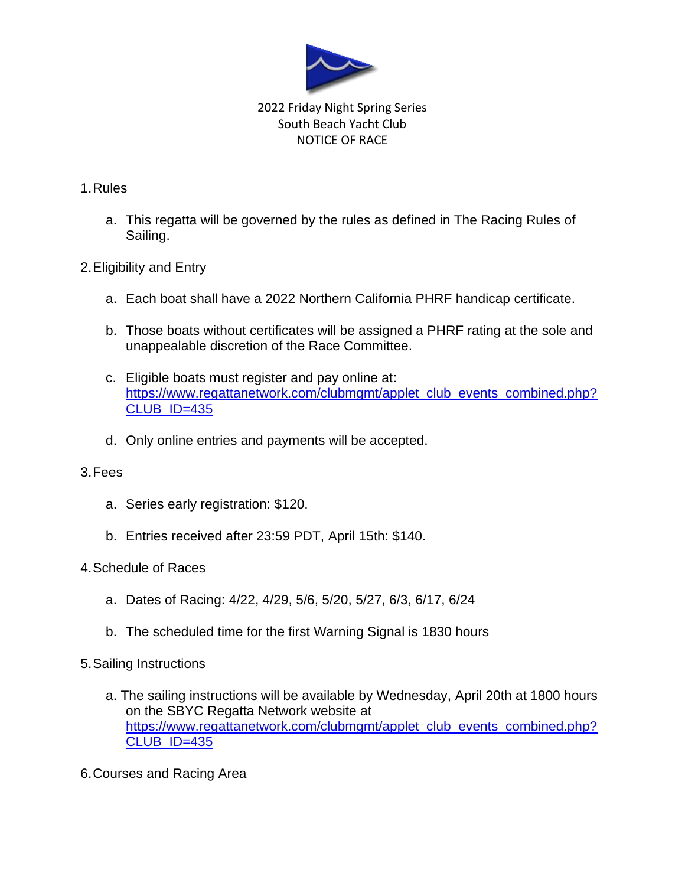

# 2022 Friday Night Spring Series South Beach Yacht Club NOTICE OF RACE

### 1.Rules

a. This regatta will be governed by the rules as defined in The Racing Rules of Sailing.

# 2.Eligibility and Entry

- a. Each boat shall have a 2022 Northern California PHRF handicap certificate.
- b. Those boats without certificates will be assigned a PHRF rating at the sole and unappealable discretion of the Race Committee.
- c. Eligible boats must register and pay online at: [https://www.regattanetwork.com/clubmgmt/applet\\_club\\_events\\_combined.php?](https://www.regattanetwork.com/clubmgmt/applet_club_events_combined.php?CLUB_ID=435) [CLUB\\_ID=435](https://www.regattanetwork.com/clubmgmt/applet_club_events_combined.php?CLUB_ID=435)
- d. Only online entries and payments will be accepted.

### 3.Fees

- a. Series early registration: \$120.
- b. Entries received after 23:59 PDT, April 15th: \$140.
- 4.Schedule of Races
	- a. Dates of Racing: 4/22, 4/29, 5/6, 5/20, 5/27, 6/3, 6/17, 6/24
	- b. The scheduled time for the first Warning Signal is 1830 hours

### 5.Sailing Instructions

- a. The sailing instructions will be available by Wednesday, April 20th at 1800 hours on the SBYC Regatta Network website at [https://www.regattanetwork.com/clubmgmt/applet\\_club\\_events\\_combined.php?](https://www.regattanetwork.com/clubmgmt/applet_club_events_combined.php?CLUB_ID=435) [CLUB\\_ID=435](https://www.regattanetwork.com/clubmgmt/applet_club_events_combined.php?CLUB_ID=435)
- 6.Courses and Racing Area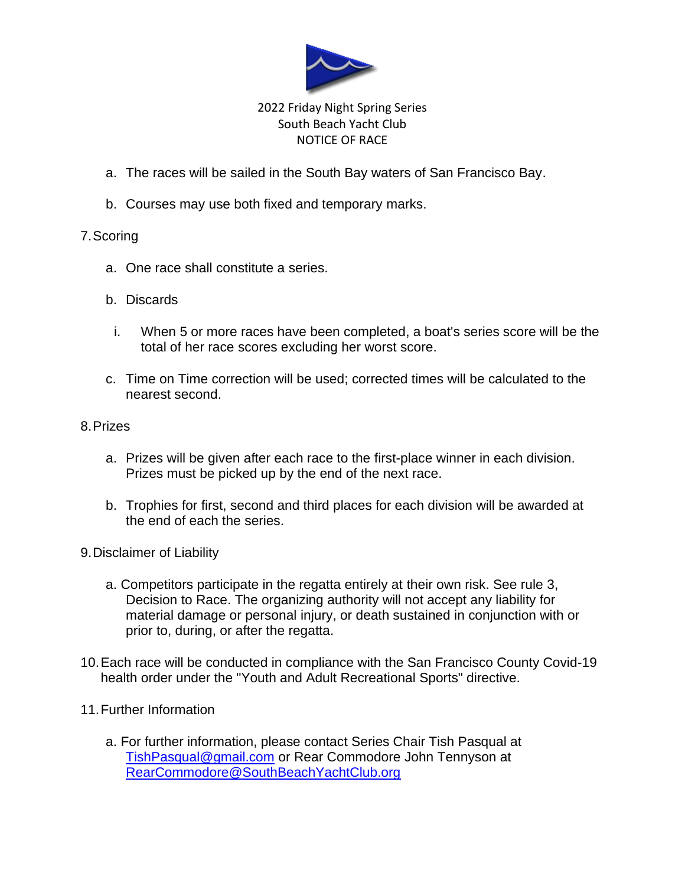

# 2022 Friday Night Spring Series South Beach Yacht Club NOTICE OF RACE

- a. The races will be sailed in the South Bay waters of San Francisco Bay.
- b. Courses may use both fixed and temporary marks.

### 7.Scoring

- a. One race shall constitute a series.
- b. Discards
	- i. When 5 or more races have been completed, a boat's series score will be the total of her race scores excluding her worst score.
- c. Time on Time correction will be used; corrected times will be calculated to the nearest second.

### 8.Prizes

- a. Prizes will be given after each race to the first-place winner in each division. Prizes must be picked up by the end of the next race.
- b. Trophies for first, second and third places for each division will be awarded at the end of each the series.
- 9.Disclaimer of Liability
	- a. Competitors participate in the regatta entirely at their own risk. See rule 3, Decision to Race. The organizing authority will not accept any liability for material damage or personal injury, or death sustained in conjunction with or prior to, during, or after the regatta.
- 10.Each race will be conducted in compliance with the San Francisco County Covid-19 health order under the "Youth and Adult Recreational Sports" directive.
- 11.Further Information
	- a. For further information, please contact Series Chair Tish Pasqual at [TishPasqual@gmail.com](mailto:TishPasqual@gmail.com) or Rear Commodore John Tennyson at [RearCommodore@SouthBeachYachtClub.org](mailto:RearCommodore@SouthBeachYachtClub.org)